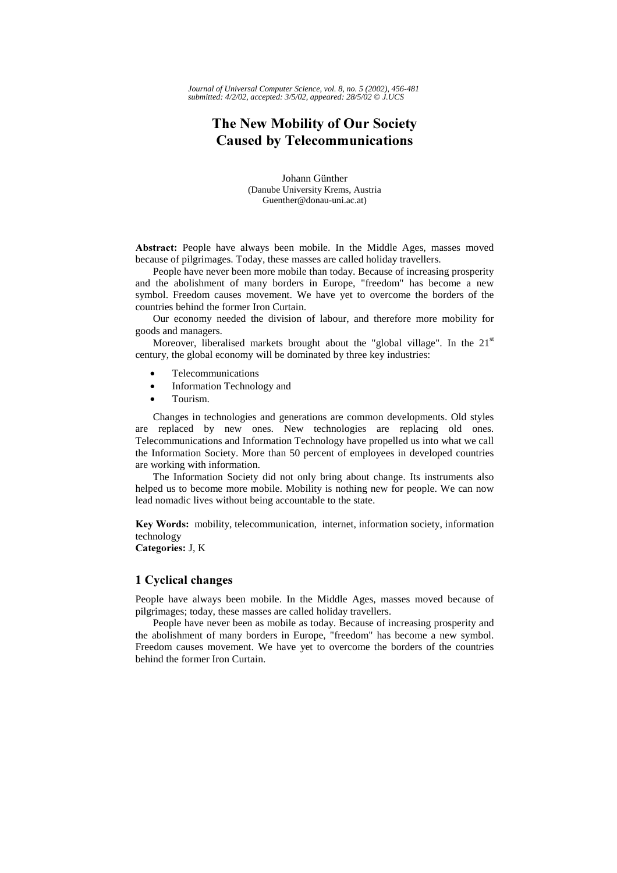*Journal of Universal Computer Science, vol. 8, no. 5 (2002), 456-481 submitted: 4/2/02, accepted: 3/5/02, appeared: 28/5/02 J.UCS*

# The New Mobility of Our Society **Caused by Telecommunications**

Johann Günther (Danube University Krems, Austria Guenther@donau-uni.ac.at)

Abstract: People have always been mobile. In the Middle Ages, masses moved because of pilgrimages. Today, these masses are called holiday travellers.

People have never been more mobile than today. Because of increasing prosperity and the abolishment of many borders in Europe, "freedom" has become a new symbol. Freedom causes movement. We have yet to overcome the borders of the countries behind the former Iron Curtain.

Our economy needed the division of labour, and therefore more mobility for goods and managers.

Moreover, liberalised markets brought about the "global village". In the  $21<sup>st</sup>$ century, the global economy will be dominated by three key industries:

- Telecommunications
- Information Technology and
- Tourism.

Changes in technologies and generations are common developments. Old styles are replaced by new ones. New technologies are replacing old ones. Telecommunications and Information Technology have propelled us into what we call the Information Society. More than 50 percent of employees in developed countries are working with information.

The Information Society did not only bring about change. Its instruments also helped us to become more mobile. Mobility is nothing new for people. We can now lead nomadic lives without being accountable to the state.

Key Words: mobility, telecommunication, internet, information society, information technology

Categories: J, K

# 1 Cyclical changes

People have always been mobile. In the Middle Ages, masses moved because of pilgrimages; today, these masses are called holiday travellers.

People have never been as mobile as today. Because of increasing prosperity and the abolishment of many borders in Europe, "freedom" has become a new symbol. Freedom causes movement. We have yet to overcome the borders of the countries behind the former Iron Curtain.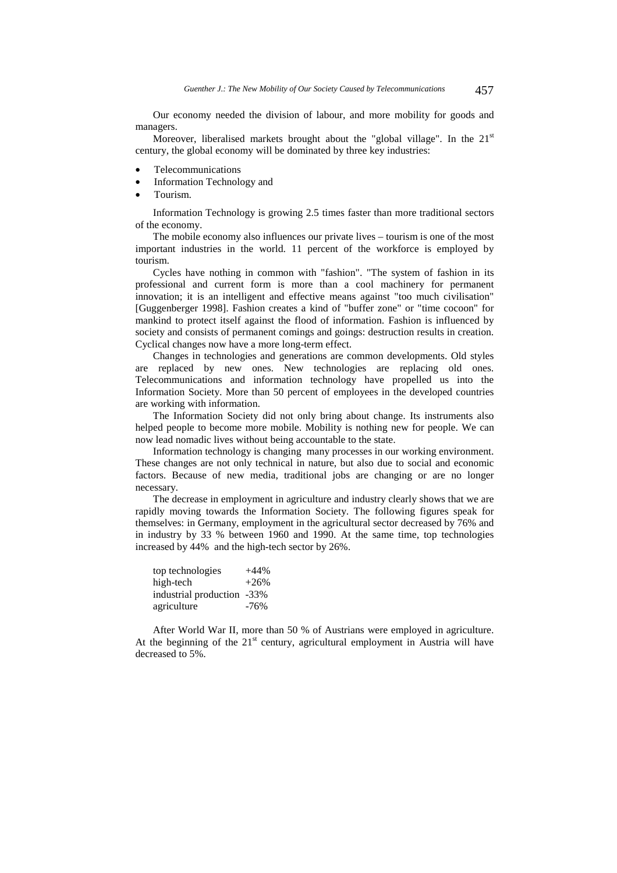Our economy needed the division of labour, and more mobility for goods and managers.

Moreover, liberalised markets brought about the "global village". In the  $21<sup>st</sup>$ century, the global economy will be dominated by three key industries:

- Telecommunications
- Information Technology and
- Tourism.

Information Technology is growing 2.5 times faster than more traditional sectors of the economy.

The mobile economy also influences our private lives – tourism is one of the most important industries in the world. 11 percent of the workforce is employed by tourism.

Cycles have nothing in common with "fashion". "The system of fashion in its professional and current form is more than a cool machinery for permanent innovation; it is an intelligent and effective means against "too much civilisation" [Guggenberger 1998]. Fashion creates a kind of "buffer zone" or "time cocoon" for mankind to protect itself against the flood of information. Fashion is influenced by society and consists of permanent comings and goings: destruction results in creation. Cyclical changes now have a more long-term effect.

Changes in technologies and generations are common developments. Old styles are replaced by new ones. New technologies are replacing old ones. Telecommunications and information technology have propelled us into the Information Society. More than 50 percent of employees in the developed countries are working with information.

The Information Society did not only bring about change. Its instruments also helped people to become more mobile. Mobility is nothing new for people. We can now lead nomadic lives without being accountable to the state.

Information technology is changing many processes in our working environment. These changes are not only technical in nature, but also due to social and economic factors. Because of new media, traditional jobs are changing or are no longer necessary.

The decrease in employment in agriculture and industry clearly shows that we are rapidly moving towards the Information Society. The following figures speak for themselves: in Germany, employment in the agricultural sector decreased by 76% and in industry by 33 % between 1960 and 1990. At the same time, top technologies increased by 44% and the high-tech sector by 26%.

| top technologies           | $+44%$ |
|----------------------------|--------|
| high-tech                  | $+26%$ |
| industrial production -33% |        |
| agriculture                | $-76%$ |

After World War II, more than 50 % of Austrians were employed in agriculture. At the beginning of the  $21<sup>st</sup>$  century, agricultural employment in Austria will have decreased to 5%.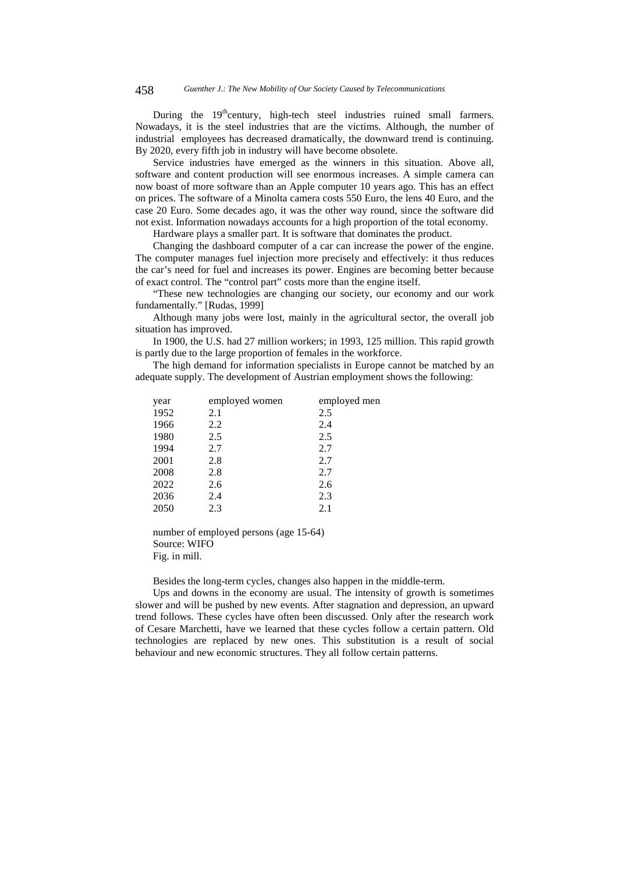During the 19<sup>th</sup>century, high-tech steel industries ruined small farmers. Nowadays, it is the steel industries that are the victims. Although, the number of industrial employees has decreased dramatically, the downward trend is continuing. By 2020, every fifth job in industry will have become obsolete.

Service industries have emerged as the winners in this situation. Above all, software and content production will see enormous increases. A simple camera can now boast of more software than an Apple computer 10 years ago. This has an effect on prices. The software of a Minolta camera costs 550 Euro, the lens 40 Euro, and the case 20 Euro. Some decades ago, it was the other way round, since the software did not exist. Information nowadays accounts for a high proportion of the total economy.

Hardware plays a smaller part. It is software that dominates the product.

Changing the dashboard computer of a car can increase the power of the engine. The computer manages fuel injection more precisely and effectively: it thus reduces the car's need for fuel and increases its power. Engines are becoming better because of exact control. The "control part" costs more than the engine itself.

"These new technologies are changing our society, our economy and our work fundamentally." [Rudas, 1999]

Although many jobs were lost, mainly in the agricultural sector, the overall job situation has improved.

In 1900, the U.S. had 27 million workers; in 1993, 125 million. This rapid growth is partly due to the large proportion of females in the workforce.

The high demand for information specialists in Europe cannot be matched by an adequate supply. The development of Austrian employment shows the following:

| employed women | employed men |
|----------------|--------------|
| 2.1            | 2.5          |
| 2.2            | 2.4          |
| 2.5            | 2.5          |
| 2.7            | 2.7          |
| 2.8            | 2.7          |
| 2.8            | 2.7          |
| 2.6            | 2.6          |
| 2.4            | 2.3          |
| 2.3            | 2.1          |
|                |              |

number of employed persons (age 15-64) Source: WIFO Fig. in mill.

Besides the long-term cycles, changes also happen in the middle-term.

Ups and downs in the economy are usual. The intensity of growth is sometimes slower and will be pushed by new events. After stagnation and depression, an upward trend follows. These cycles have often been discussed. Only after the research work of Cesare Marchetti, have we learned that these cycles follow a certain pattern. Old technologies are replaced by new ones. This substitution is a result of social behaviour and new economic structures. They all follow certain patterns.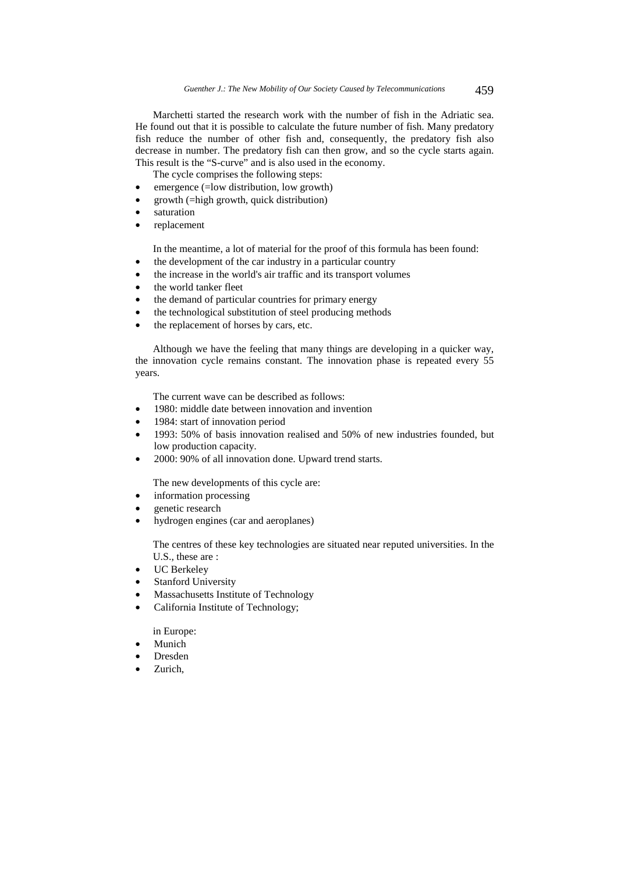Marchetti started the research work with the number of fish in the Adriatic sea. He found out that it is possible to calculate the future number of fish. Many predatory fish reduce the number of other fish and, consequently, the predatory fish also decrease in number. The predatory fish can then grow, and so the cycle starts again. This result is the "S-curve" and is also used in the economy.

The cycle comprises the following steps:

- emergence (=low distribution, low growth)
- $growth$  (=high growth, quick distribution)
- saturation
- replacement

In the meantime, a lot of material for the proof of this formula has been found:

- the development of the car industry in a particular country
- the increase in the world's air traffic and its transport volumes
- the world tanker fleet
- the demand of particular countries for primary energy
- the technological substitution of steel producing methods
- the replacement of horses by cars, etc.

Although we have the feeling that many things are developing in a quicker way, the innovation cycle remains constant. The innovation phase is repeated every 55 years.

The current wave can be described as follows:

- 1980: middle date between innovation and invention
- 1984: start of innovation period
- 1993: 50% of basis innovation realised and 50% of new industries founded, but low production capacity.
- 2000: 90% of all innovation done. Upward trend starts.

The new developments of this cycle are:

- information processing
- genetic research
- hydrogen engines (car and aeroplanes)

The centres of these key technologies are situated near reputed universities. In the U.S., these are :

- UC Berkeley
- Stanford University
- Massachusetts Institute of Technology
- California Institute of Technology;

in Europe:

- Munich
- Dresden
- Zurich,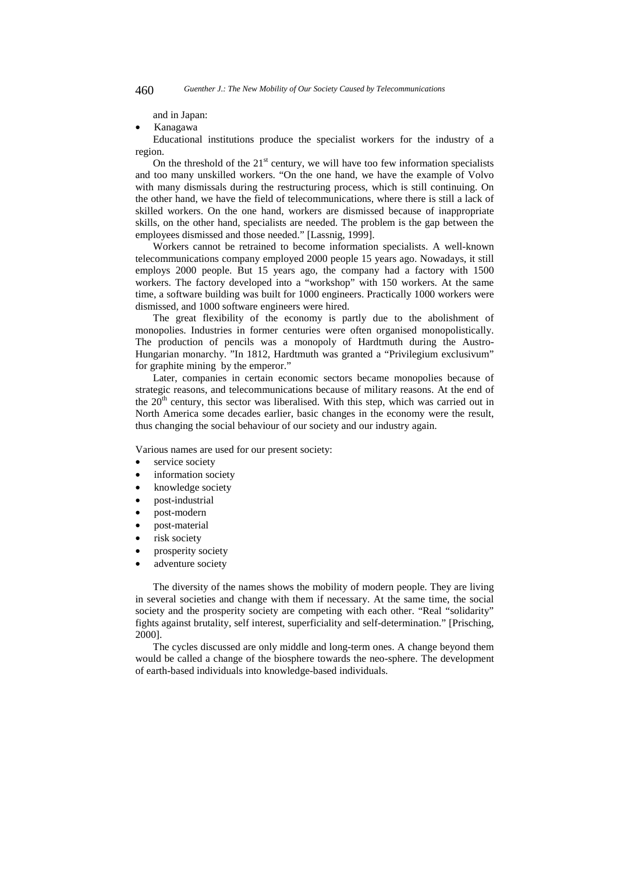and in Japan:

• Kanagawa

Educational institutions produce the specialist workers for the industry of a region.

On the threshold of the  $21<sup>st</sup>$  century, we will have too few information specialists and too many unskilled workers. "On the one hand, we have the example of Volvo with many dismissals during the restructuring process, which is still continuing. On the other hand, we have the field of telecommunications, where there is still a lack of skilled workers. On the one hand, workers are dismissed because of inappropriate skills, on the other hand, specialists are needed. The problem is the gap between the employees dismissed and those needed." [Lassnig, 1999].

Workers cannot be retrained to become information specialists. A well-known telecommunications company employed 2000 people 15 years ago. Nowadays, it still employs 2000 people. But 15 years ago, the company had a factory with 1500 workers. The factory developed into a "workshop" with 150 workers. At the same time, a software building was built for 1000 engineers. Practically 1000 workers were dismissed, and 1000 software engineers were hired.

The great flexibility of the economy is partly due to the abolishment of monopolies. Industries in former centuries were often organised monopolistically. The production of pencils was a monopoly of Hardtmuth during the Austro-Hungarian monarchy. "In 1812, Hardtmuth was granted a "Privilegium exclusivum" for graphite mining by the emperor."

Later, companies in certain economic sectors became monopolies because of strategic reasons, and telecommunications because of military reasons. At the end of the  $20<sup>th</sup>$  century, this sector was liberalised. With this step, which was carried out in North America some decades earlier, basic changes in the economy were the result, thus changing the social behaviour of our society and our industry again.

Various names are used for our present society:

- service society
- information society
- knowledge society
- post-industrial
- post-modern
- post-material
- risk society
- prosperity society
- adventure society

The diversity of the names shows the mobility of modern people. They are living in several societies and change with them if necessary. At the same time, the social society and the prosperity society are competing with each other. "Real "solidarity" fights against brutality, self interest, superficiality and self-determination." [Prisching, 2000].

The cycles discussed are only middle and long-term ones. A change beyond them would be called a change of the biosphere towards the neo-sphere. The development of earth-based individuals into knowledge-based individuals.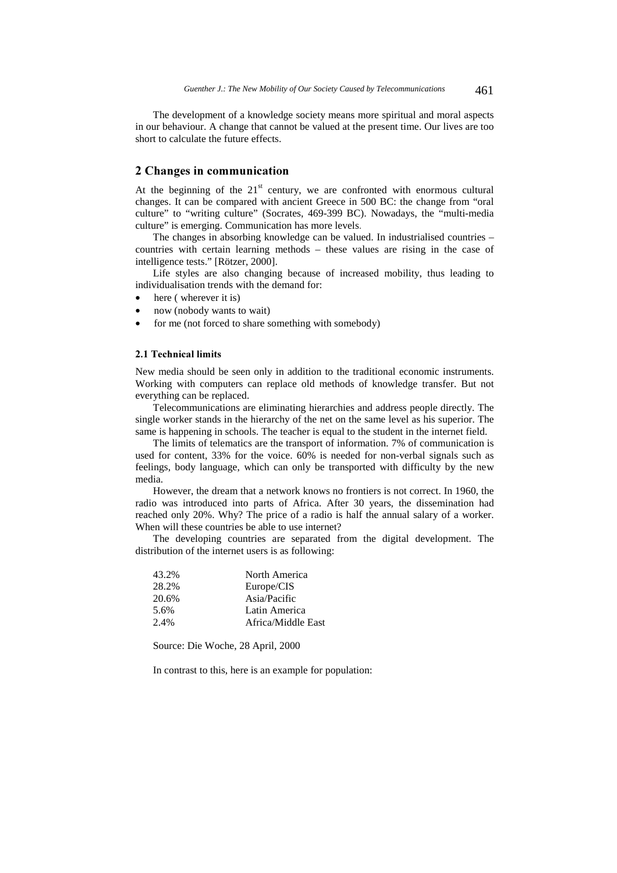The development of a knowledge society means more spiritual and moral aspects in our behaviour. A change that cannot be valued at the present time. Our lives are too short to calculate the future effects.

# 2 Changes in communication

At the beginning of the  $21<sup>st</sup>$  century, we are confronted with enormous cultural changes. It can be compared with ancient Greece in 500 BC: the change from "oral culture" to "writing culture" (Socrates, 469-399 BC). Nowadays, the "multi-media culture" is emerging. Communication has more levels.

The changes in absorbing knowledge can be valued. In industrialised countries – countries with certain learning methods – these values are rising in the case of intelligence tests." [Rötzer, 2000].

Life styles are also changing because of increased mobility, thus leading to individualisation trends with the demand for:

- here (wherever it is)
- now (nobody wants to wait)
- for me (not forced to share something with somebody)

# 2.1 Technical limits

New media should be seen only in addition to the traditional economic instruments. Working with computers can replace old methods of knowledge transfer. But not everything can be replaced.

Telecommunications are eliminating hierarchies and address people directly. The single worker stands in the hierarchy of the net on the same level as his superior. The same is happening in schools. The teacher is equal to the student in the internet field.

The limits of telematics are the transport of information. 7% of communication is used for content, 33% for the voice. 60% is needed for non-verbal signals such as feelings, body language, which can only be transported with difficulty by the new media.

However, the dream that a network knows no frontiers is not correct. In 1960, the radio was introduced into parts of Africa. After 30 years, the dissemination had reached only 20%. Why? The price of a radio is half the annual salary of a worker. When will these countries be able to use internet?

The developing countries are separated from the digital development. The distribution of the internet users is as following:

| 43.2%   | North America      |
|---------|--------------------|
| 28.2%   | Europe/CIS         |
| 20.6%   | Asia/Pacific       |
| 5.6%    | Latin America      |
| $2.4\%$ | Africa/Middle East |

Source: Die Woche, 28 April, 2000

In contrast to this, here is an example for population: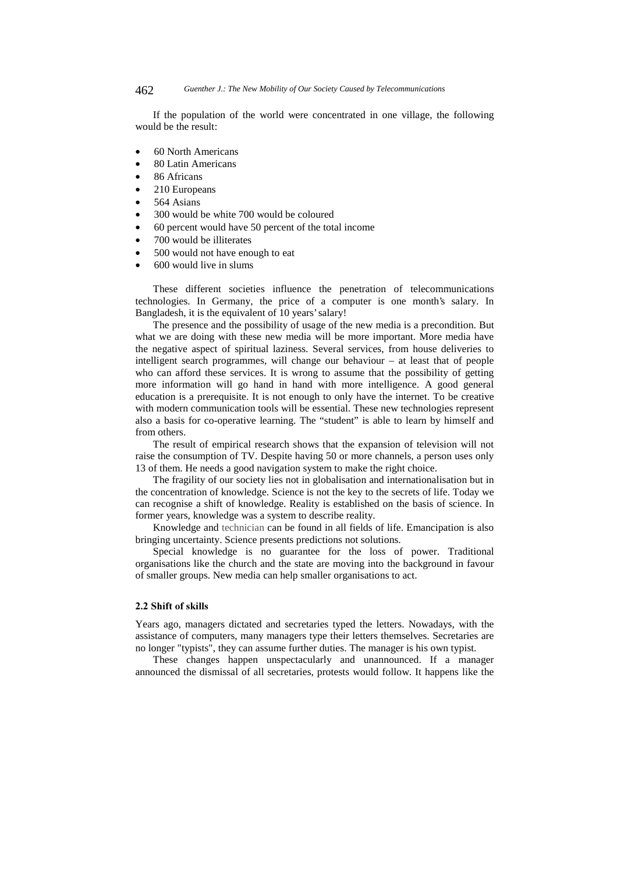If the population of the world were concentrated in one village, the following would be the result:

- 60 North Americans
- 80 Latin Americans
- 86 Africans
- 210 Europeans
- 564 Asians
- 300 would be white 700 would be coloured
- 60 percent would have 50 percent of the total income
- 700 would be illiterates
- 500 would not have enough to eat
- 600 would live in slums

These different societies influence the penetration of telecommunications technologies. In Germany, the price of a computer is one month's salary. In Bangladesh, it is the equivalent of 10 years' salary!

The presence and the possibility of usage of the new media is a precondition. But what we are doing with these new media will be more important. More media have the negative aspect of spiritual laziness. Several services, from house deliveries to intelligent search programmes, will change our behaviour – at least that of people who can afford these services. It is wrong to assume that the possibility of getting more information will go hand in hand with more intelligence. A good general education is a prerequisite. It is not enough to only have the internet. To be creative with modern communication tools will be essential. These new technologies represent also a basis for co-operative learning. The "student" is able to learn by himself and from others.

The result of empirical research shows that the expansion of television will not raise the consumption of TV. Despite having 50 or more channels, a person uses only 13 of them. He needs a good navigation system to make the right choice.

The fragility of our society lies not in globalisation and internationalisation but in the concentration of knowledge. Science is not the key to the secrets of life. Today we can recognise a shift of knowledge. Reality is established on the basis of science. In former years, knowledge was a system to describe reality.

Knowledge and technician can be found in all fields of life. Emancipation is also bringing uncertainty. Science presents predictions not solutions.

Special knowledge is no guarantee for the loss of power. Traditional organisations like the church and the state are moving into the background in favour of smaller groups. New media can help smaller organisations to act.

#### 2.2 Shift of skills

Years ago, managers dictated and secretaries typed the letters. Nowadays, with the assistance of computers, many managers type their letters themselves. Secretaries are no longer "typists", they can assume further duties. The manager is his own typist.

These changes happen unspectacularly and unannounced. If a manager announced the dismissal of all secretaries, protests would follow. It happens like the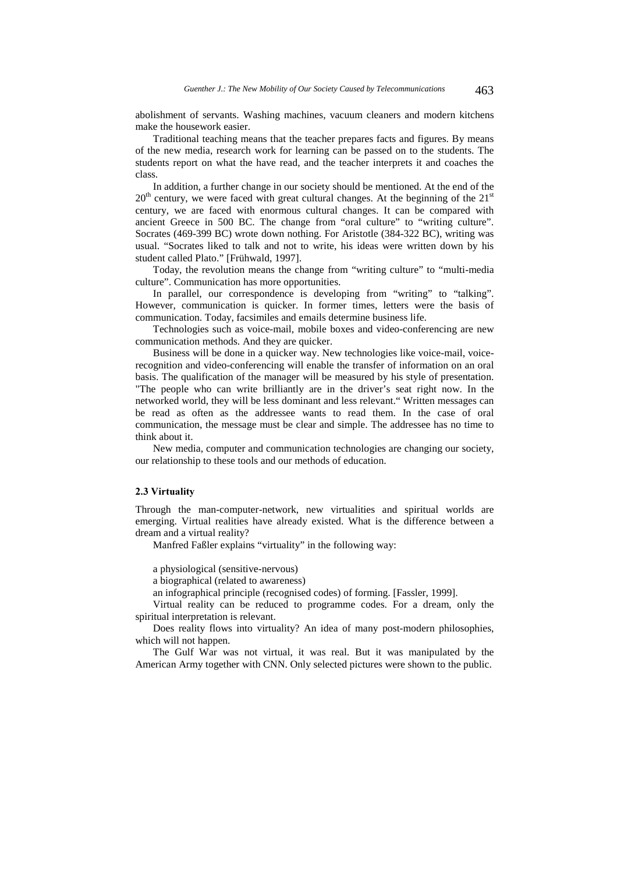abolishment of servants. Washing machines, vacuum cleaners and modern kitchens make the housework easier.

Traditional teaching means that the teacher prepares facts and figures. By means of the new media, research work for learning can be passed on to the students. The students report on what the have read, and the teacher interprets it and coaches the class.

In addition, a further change in our society should be mentioned. At the end of the  $20<sup>th</sup>$  century, we were faced with great cultural changes. At the beginning of the  $21<sup>st</sup>$ century, we are faced with enormous cultural changes. It can be compared with ancient Greece in 500 BC. The change from "oral culture" to "writing culture". Socrates (469-399 BC) wrote down nothing. For Aristotle (384-322 BC), writing was usual. "Socrates liked to talk and not to write, his ideas were written down by his student called Plato." [Frühwald, 1997].

Today, the revolution means the change from "writing culture" to "multi-media culture". Communication has more opportunities.

In parallel, our correspondence is developing from "writing" to "talking". However, communication is quicker. In former times, letters were the basis of communication. Today, facsimiles and emails determine business life.

Technologies such as voice-mail, mobile boxes and video-conferencing are new communication methods. And they are quicker.

Business will be done in a quicker way. New technologies like voice-mail, voicerecognition and video-conferencing will enable the transfer of information on an oral basis. The qualification of the manager will be measured by his style of presentation. "The people who can write brilliantly are in the driver's seat right now. In the networked world, they will be less dominant and less relevant." Written messages can be read as often as the addressee wants to read them. In the case of oral communication, the message must be clear and simple. The addressee has no time to think about it.

New media, computer and communication technologies are changing our society, our relationship to these tools and our methods of education.

### 2.3 Virtuality

Through the man-computer-network, new virtualities and spiritual worlds are emerging. Virtual realities have already existed. What is the difference between a dream and a virtual reality?

Manfred Faßler explains "virtuality" in the following way:

a physiological (sensitive-nervous)

a biographical (related to awareness)

an infographical principle (recognised codes) of forming. [Fassler, 1999].

Virtual reality can be reduced to programme codes. For a dream, only the spiritual interpretation is relevant.

Does reality flows into virtuality? An idea of many post-modern philosophies, which will not happen.

The Gulf War was not virtual, it was real. But it was manipulated by the American Army together with CNN. Only selected pictures were shown to the public.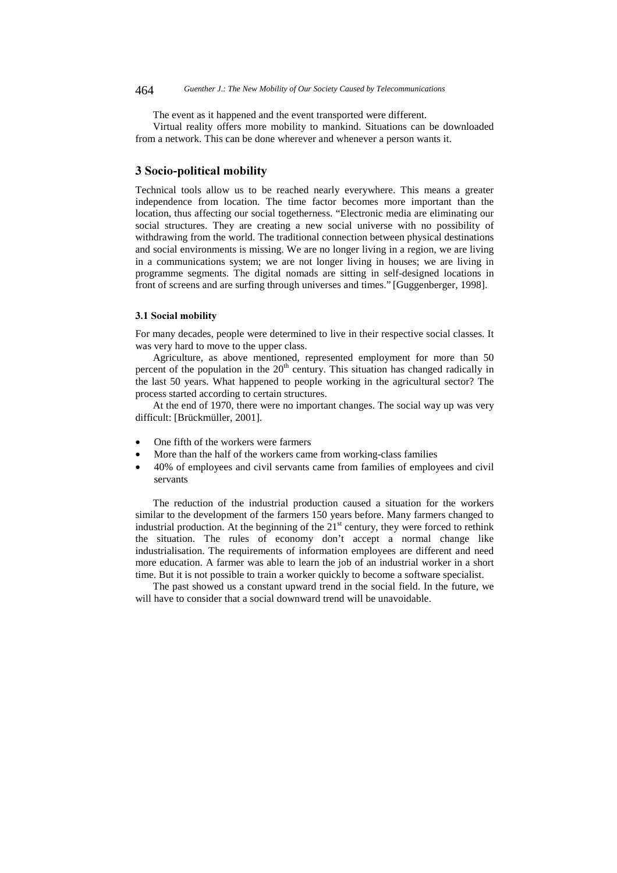The event as it happened and the event transported were different.

Virtual reality offers more mobility to mankind. Situations can be downloaded from a network. This can be done wherever and whenever a person wants it.

# 3 Socio-political mobility

Technical tools allow us to be reached nearly everywhere. This means a greater independence from location. The time factor becomes more important than the location, thus affecting our social togetherness. "Electronic media are eliminating our social structures. They are creating a new social universe with no possibility of withdrawing from the world. The traditional connection between physical destinations and social environments is missing. We are no longer living in a region, we are living in a communications system; we are not longer living in houses; we are living in programme segments. The digital nomads are sitting in self-designed locations in front of screens and are surfing through universes and times." [Guggenberger, 1998].

#### 3.1 Social mobility

For many decades, people were determined to live in their respective social classes. It was very hard to move to the upper class.

Agriculture, as above mentioned, represented employment for more than 50 percent of the population in the  $20<sup>th</sup>$  century. This situation has changed radically in the last 50 years. What happened to people working in the agricultural sector? The process started according to certain structures.

At the end of 1970, there were no important changes. The social way up was very difficult: [Brückmüller, 2001].

- One fifth of the workers were farmers
- More than the half of the workers came from working-class families
- 40% of employees and civil servants came from families of employees and civil servants

The reduction of the industrial production caused a situation for the workers similar to the development of the farmers 150 years before. Many farmers changed to industrial production. At the beginning of the  $21<sup>st</sup>$  century, they were forced to rethink the situation. The rules of economy don't accept a normal change like industrialisation. The requirements of information employees are different and need more education. A farmer was able to learn the job of an industrial worker in a short time. But it is not possible to train a worker quickly to become a software specialist.

The past showed us a constant upward trend in the social field. In the future, we will have to consider that a social downward trend will be unavoidable.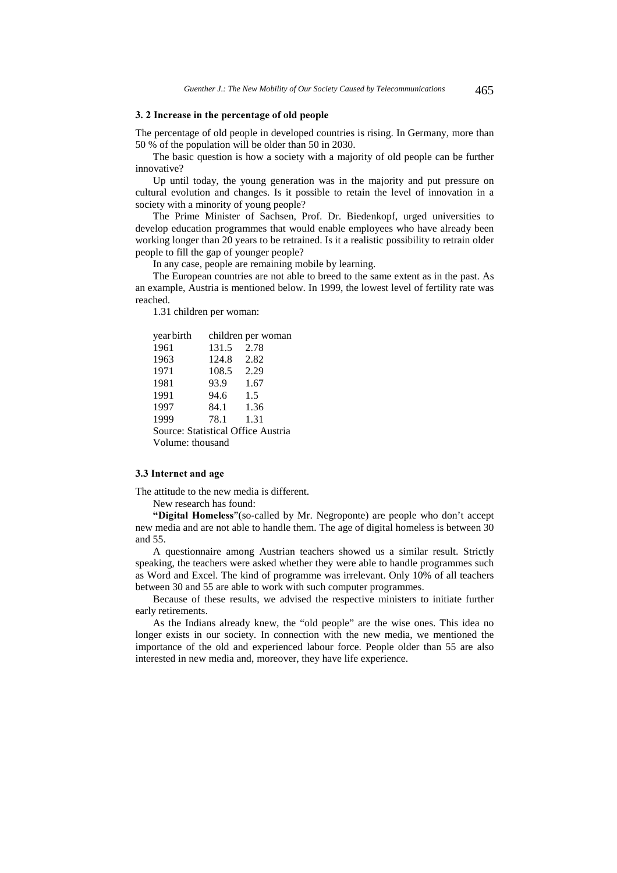#### 3. 2 Increase in the percentage of old people

The percentage of old people in developed countries is rising. In Germany, more than 50 % of the population will be older than 50 in 2030.

The basic question is how a society with a majority of old people can be further innovative?

Up until today, the young generation was in the majority and put pressure on cultural evolution and changes. Is it possible to retain the level of innovation in a society with a minority of young people?

The Prime Minister of Sachsen, Prof. Dr. Biedenkopf, urged universities to develop education programmes that would enable employees who have already been working longer than 20 years to be retrained. Is it a realistic possibility to retrain older people to fill the gap of younger people?

In any case, people are remaining mobile by learning.

The European countries are not able to breed to the same extent as in the past. As an example, Austria is mentioned below. In 1999, the lowest level of fertility rate was reached.

1.31 children per woman:

| yearbirth                          |       | children per woman |
|------------------------------------|-------|--------------------|
| 1961                               | 131.5 | 2.78               |
| 1963                               | 124.8 | 2.82               |
| 1971                               | 108.5 | 2.29               |
| 1981                               | 93.9  | 1.67               |
| 1991                               | 94.6  | 1.5                |
| 1997                               | 84.1  | 1.36               |
| 1999                               | 78.1  | 1.31               |
| Source: Statistical Office Austria |       |                    |
| Volume: thousand                   |       |                    |

#### 3.3 Internet and age

The attitude to the new media is different. New research has found:

"Digital Homeless" (so-called by Mr. Negroponte) are people who don't accept new media and are not able to handle them. The age of digital homeless is between 30 and 55.

A questionnaire among Austrian teachers showed us a similar result. Strictly speaking, the teachers were asked whether they were able to handle programmes such as Word and Excel. The kind of programme was irrelevant. Only 10% of all teachers between 30 and 55 are able to work with such computer programmes.

Because of these results, we advised the respective ministers to initiate further early retirements.

As the Indians already knew, the "old people" are the wise ones. This idea no longer exists in our society. In connection with the new media, we mentioned the importance of the old and experienced labour force. People older than 55 are also interested in new media and, moreover, they have life experience.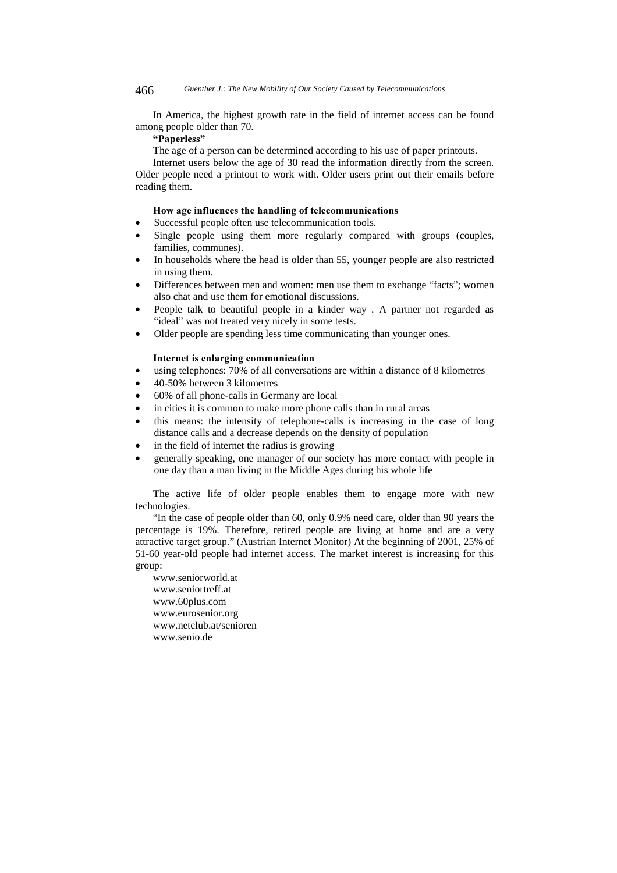In America, the highest growth rate in the field of internet access can be found among people older than 70.

# "Paperless"

The age of a person can be determined according to his use of paper printouts.

Internet users below the age of 30 read the information directly from the screen. Older people need a printout to work with. Older users print out their emails before reading them.

#### How age influences the handling of telecommunications

- Successful people often use telecommunication tools.
- Single people using them more regularly compared with groups (couples, families, communes).
- In households where the head is older than 55, younger people are also restricted in using them.
- Differences between men and women: men use them to exchange "facts"; women also chat and use them for emotional discussions.
- People talk to beautiful people in a kinder way . A partner not regarded as "ideal" was not treated very nicely in some tests.
- Older people are spending less time communicating than younger ones.

### Internet is enlarging communication

- using telephones: 70% of all conversations are within a distance of 8 kilometres
- 40-50% between 3 kilometres
- 60% of all phone-calls in Germany are local
- in cities it is common to make more phone calls than in rural areas
- this means: the intensity of telephone-calls is increasing in the case of long distance calls and a decrease depends on the density of population
- in the field of internet the radius is growing
- generally speaking, one manager of our society has more contact with people in one day than a man living in the Middle Ages during his whole life

The active life of older people enables them to engage more with new technologies.

"In the case of people older than 60, only 0.9% need care, older than 90 years the percentage is 19%. Therefore, retired people are living at home and are a very attractive target group." (Austrian Internet Monitor) At the beginning of 2001, 25% of 51-60 year-old people had internet access. The market interest is increasing for this group:

www.seniorworld.at www.seniortreff.at www.60plus.com www.eurosenior.org www.netclub.at/senioren www.senio.de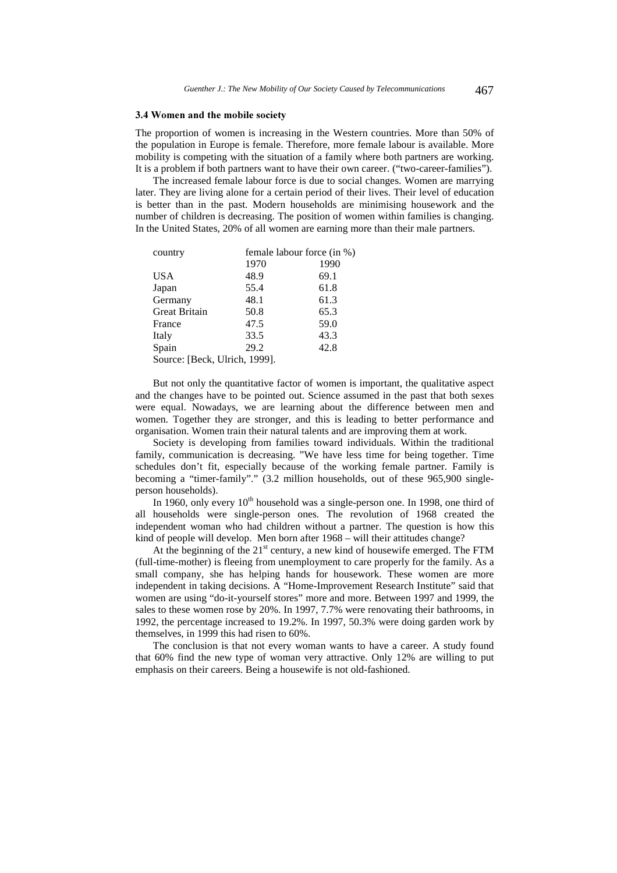#### 3.4 Women and the mobile society

The proportion of women is increasing in the Western countries. More than 50% of the population in Europe is female. Therefore, more female labour is available. More mobility is competing with the situation of a family where both partners are working. It is a problem if both partners want to have their own career. ("two-career-families").

The increased female labour force is due to social changes. Women are marrying later. They are living alone for a certain period of their lives. Their level of education is better than in the past. Modern households are minimising housework and the number of children is decreasing. The position of women within families is changing. In the United States, 20% of all women are earning more than their male partners.

| country                       | female labour force (in %) |      |  |
|-------------------------------|----------------------------|------|--|
|                               | 1970                       | 1990 |  |
| <b>USA</b>                    | 48.9                       | 69.1 |  |
| Japan                         | 55.4                       | 61.8 |  |
| Germany                       | 48.1                       | 61.3 |  |
| <b>Great Britain</b>          | 50.8                       | 65.3 |  |
| France                        | 47.5                       | 59.0 |  |
| Italy                         | 33.5                       | 43.3 |  |
| Spain                         | 29.2                       | 42.8 |  |
| Source: [Beck, Ulrich, 1999]. |                            |      |  |

But not only the quantitative factor of women is important, the qualitative aspect and the changes have to be pointed out. Science assumed in the past that both sexes were equal. Nowadays, we are learning about the difference between men and women. Together they are stronger, and this is leading to better performance and organisation. Women train their natural talents and are improving them at work.

Society is developing from families toward individuals. Within the traditional family, communication is decreasing. "We have less time for being together. Time schedules don't fit, especially because of the working female partner. Family is becoming a "timer-family"." (3.2 million households, out of these 965,900 singleperson households).

In 1960, only every  $10<sup>th</sup>$  household was a single-person one. In 1998, one third of all households were single-person ones. The revolution of 1968 created the independent woman who had children without a partner. The question is how this kind of people will develop. Men born after 1968 – will their attitudes change?

At the beginning of the  $21<sup>st</sup>$  century, a new kind of housewife emerged. The FTM (full-time-mother) is fleeing from unemployment to care properly for the family. As a small company, she has helping hands for housework. These women are more independent in taking decisions. A "Home-Improvement Research Institute" said that women are using "do-it-yourself stores" more and more. Between 1997 and 1999, the sales to these women rose by 20%. In 1997, 7.7% were renovating their bathrooms, in 1992, the percentage increased to 19.2%. In 1997, 50.3% were doing garden work by themselves, in 1999 this had risen to 60%.

The conclusion is that not every woman wants to have a career. A study found that 60% find the new type of woman very attractive. Only 12% are willing to put emphasis on their careers. Being a housewife is not old-fashioned.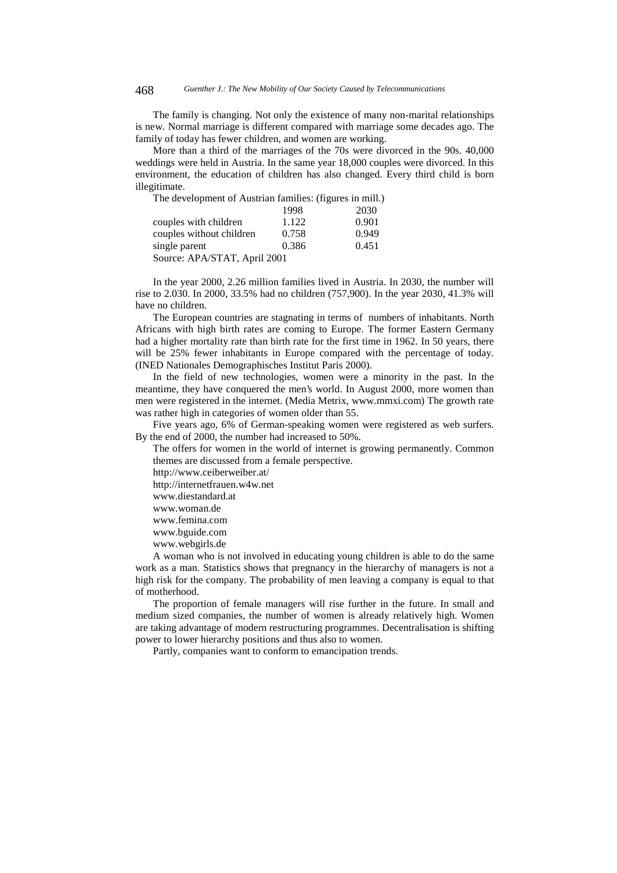The family is changing. Not only the existence of many non-marital relationships is new. Normal marriage is different compared with marriage some decades ago. The family of today has fewer children, and women are working.

More than a third of the marriages of the 70s were divorced in the 90s. 40,000 weddings were held in Austria. In the same year 18,000 couples were divorced. In this environment, the education of children has also changed. Every third child is born illegitimate.

| The development of Austrian families: (figures in mill.) |       |       |
|----------------------------------------------------------|-------|-------|
|                                                          | 1998  | 2030  |
| couples with children                                    | 1.122 | 0.901 |
| couples without children                                 | 0.758 | 0.949 |
| single parent                                            | 0.386 | 0.451 |
| Source: APA/STAT, April 2001                             |       |       |
|                                                          |       |       |

In the year 2000, 2.26 million families lived in Austria. In 2030, the number will rise to 2.030. In 2000, 33.5% had no children (757,900). In the year 2030, 41.3% will have no children.

The European countries are stagnating in terms of numbers of inhabitants. North Africans with high birth rates are coming to Europe. The former Eastern Germany had a higher mortality rate than birth rate for the first time in 1962. In 50 years, there will be 25% fewer inhabitants in Europe compared with the percentage of today. (INED Nationales Demographisches Institut Paris 2000).

In the field of new technologies, women were a minority in the past. In the meantime, they have conquered the men's world. In August 2000, more women than men were registered in the internet. (Media Metrix, www.mmxi.com) The growth rate was rather high in categories of women older than 55.

Five years ago, 6% of German-speaking women were registered as web surfers. By the end of 2000, the number had increased to 50%.

The offers for women in the world of internet is growing permanently. Common themes are discussed from a female perspective.

http://www.ceiberweiber.at/

http://internetfrauen.w4w.net

- www.diestandard.at
- www.woman.de
- www.femina.com
- www.bguide.com
- www.webgirls.de

A woman who is not involved in educating young children is able to do the same work as a man. Statistics shows that pregnancy in the hierarchy of managers is not a high risk for the company. The probability of men leaving a company is equal to that of motherhood.

The proportion of female managers will rise further in the future. In small and medium sized companies, the number of women is already relatively high. Women are taking advantage of modern restructuring programmes. Decentralisation is shifting power to lower hierarchy positions and thus also to women.

Partly, companies want to conform to emancipation trends.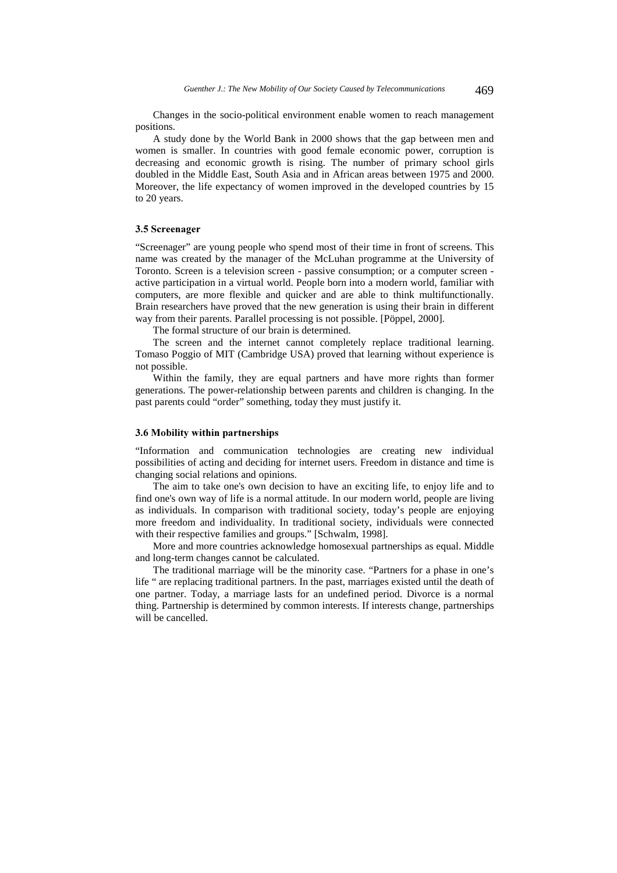Changes in the socio-political environment enable women to reach management positions.

A study done by the World Bank in 2000 shows that the gap between men and women is smaller. In countries with good female economic power, corruption is decreasing and economic growth is rising. The number of primary school girls doubled in the Middle East, South Asia and in African areas between 1975 and 2000. Moreover, the life expectancy of women improved in the developed countries by 15 to 20 years.

#### 3.5 Screenager

"Screenager" are young people who spend most of their time in front of screens. This name was created by the manager of the McLuhan programme at the University of Toronto. Screen is a television screen - passive consumption; or a computer screen active participation in a virtual world. People born into a modern world, familiar with computers, are more flexible and quicker and are able to think multifunctionally. Brain researchers have proved that the new generation is using their brain in different way from their parents. Parallel processing is not possible. [Pöppel, 2000].

The formal structure of our brain is determined.

The screen and the internet cannot completely replace traditional learning. Tomaso Poggio of MIT (Cambridge USA) proved that learning without experience is not possible.

Within the family, they are equal partners and have more rights than former generations. The power-relationship between parents and children is changing. In the past parents could "order" something, today they must justify it.

#### 3.6 Mobility within partnerships

"Information and communication technologies are creating new individual possibilities of acting and deciding for internet users. Freedom in distance and time is changing social relations and opinions.

The aim to take one's own decision to have an exciting life, to enjoy life and to find one's own way of life is a normal attitude. In our modern world, people are living as individuals. In comparison with traditional society, today's people are enjoying more freedom and individuality. In traditional society, individuals were connected with their respective families and groups." [Schwalm, 1998].

More and more countries acknowledge homosexual partnerships as equal. Middle and long-term changes cannot be calculated.

The traditional marriage will be the minority case. "Partners for a phase in one's life " are replacing traditional partners. In the past, marriages existed until the death of one partner. Today, a marriage lasts for an undefined period. Divorce is a normal thing. Partnership is determined by common interests. If interests change, partnerships will be cancelled.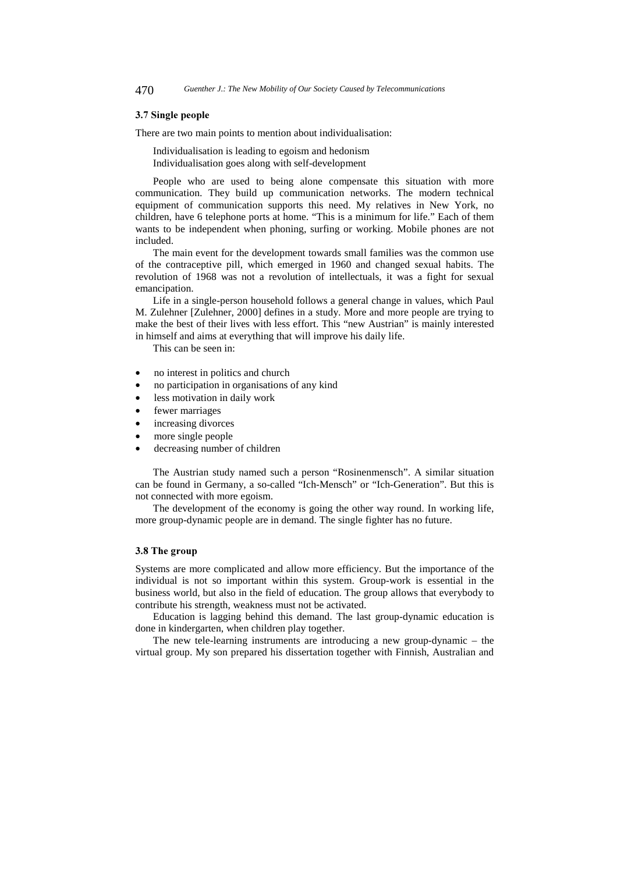#### 3.7 Single people

There are two main points to mention about individualisation:

Individualisation is leading to egoism and hedonism Individualisation goes along with self-development

People who are used to being alone compensate this situation with more communication. They build up communication networks. The modern technical equipment of communication supports this need. My relatives in New York, no children, have 6 telephone ports at home. "This is a minimum for life." Each of them wants to be independent when phoning, surfing or working. Mobile phones are not included.

The main event for the development towards small families was the common use of the contraceptive pill, which emerged in 1960 and changed sexual habits. The revolution of 1968 was not a revolution of intellectuals, it was a fight for sexual emancipation.

Life in a single-person household follows a general change in values, which Paul M. Zulehner [Zulehner, 2000] defines in a study. More and more people are trying to make the best of their lives with less effort. This "new Austrian" is mainly interested in himself and aims at everything that will improve his daily life.

This can be seen in:

- no interest in politics and church
- no participation in organisations of any kind
- less motivation in daily work
- fewer marriages
- increasing divorces
- more single people
- decreasing number of children

The Austrian study named such a person "Rosinenmensch". A similar situation can be found in Germany, a so-called "Ich-Mensch" or "Ich-Generation". But this is not connected with more egoism.

The development of the economy is going the other way round. In working life, more group-dynamic people are in demand. The single fighter has no future.

#### 3.8 The group

Systems are more complicated and allow more efficiency. But the importance of the individual is not so important within this system. Group-work is essential in the business world, but also in the field of education. The group allows that everybody to contribute his strength, weakness must not be activated.

Education is lagging behind this demand. The last group-dynamic education is done in kindergarten, when children play together.

The new tele-learning instruments are introducing a new group-dynamic – the virtual group. My son prepared his dissertation together with Finnish, Australian and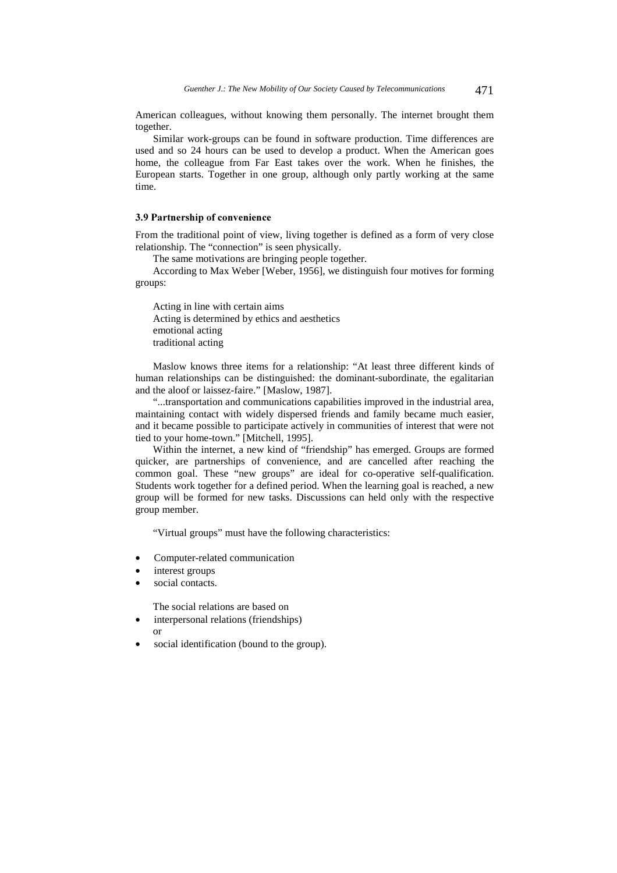American colleagues, without knowing them personally. The internet brought them together.

Similar work-groups can be found in software production. Time differences are used and so 24 hours can be used to develop a product. When the American goes home, the colleague from Far East takes over the work. When he finishes, the European starts. Together in one group, although only partly working at the same time.

#### 3.9 Partnership of convenience

From the traditional point of view, living together is defined as a form of very close relationship. The "connection" is seen physically.

The same motivations are bringing people together.

According to Max Weber [Weber, 1956], we distinguish four motives for forming groups:

Acting in line with certain aims Acting is determined by ethics and aesthetics emotional acting traditional acting

Maslow knows three items for a relationship: "At least three different kinds of human relationships can be distinguished: the dominant-subordinate, the egalitarian and the aloof or laissez-faire." [Maslow, 1987].

"...transportation and communications capabilities improved in the industrial area, maintaining contact with widely dispersed friends and family became much easier, and it became possible to participate actively in communities of interest that were not tied to your home-town." [Mitchell, 1995].

Within the internet, a new kind of "friendship" has emerged. Groups are formed quicker, are partnerships of convenience, and are cancelled after reaching the common goal. These "new groups" are ideal for co-operative self-qualification. Students work together for a defined period. When the learning goal is reached, a new group will be formed for new tasks. Discussions can held only with the respective group member.

"Virtual groups" must have the following characteristics:

- Computer-related communication
- interest groups
- social contacts.

The social relations are based on

- interpersonal relations (friendships)
- 

or

social identification (bound to the group).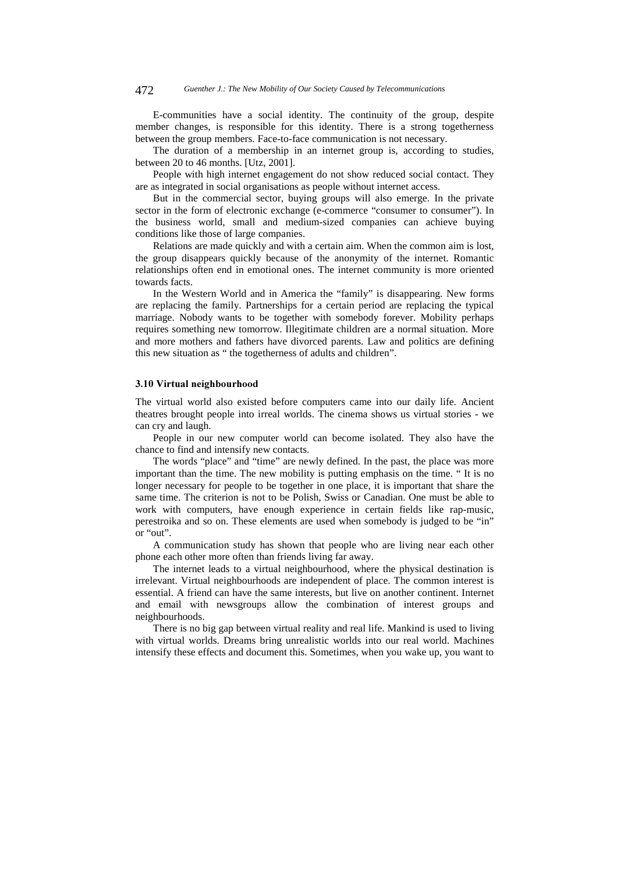472 *Guenther J.: The New Mobility of Our Society Caused by Telecommunications*

E-communities have a social identity. The continuity of the group, despite member changes, is responsible for this identity. There is a strong togetherness between the group members. Face-to-face communication is not necessary.

The duration of a membership in an internet group is, according to studies, between 20 to 46 months. [Utz, 2001].

People with high internet engagement do not show reduced social contact. They are as integrated in social organisations as people without internet access.

But in the commercial sector, buying groups will also emerge. In the private sector in the form of electronic exchange (e-commerce "consumer to consumer"). In the business world, small and medium-sized companies can achieve buying conditions like those of large companies.

Relations are made quickly and with a certain aim. When the common aim is lost, the group disappears quickly because of the anonymity of the internet. Romantic relationships often end in emotional ones. The internet community is more oriented towards facts.

In the Western World and in America the "family" is disappearing. New forms are replacing the family. Partnerships for a certain period are replacing the typical marriage. Nobody wants to be together with somebody forever. Mobility perhaps requires something new tomorrow. Illegitimate children are a normal situation. More and more mothers and fathers have divorced parents. Law and politics are defining this new situation as " the togetherness of adults and children".

#### 3.10 Virtual neighbourhood

The virtual world also existed before computers came into our daily life. Ancient theatres brought people into irreal worlds. The cinema shows us virtual stories - we can cry and laugh.

People in our new computer world can become isolated. They also have the chance to find and intensify new contacts.

The words "place" and "time" are newly defined. In the past, the place was more important than the time. The new mobility is putting emphasis on the time. " It is no longer necessary for people to be together in one place, it is important that share the same time. The criterion is not to be Polish, Swiss or Canadian. One must be able to work with computers, have enough experience in certain fields like rap-music, perestroika and so on. These elements are used when somebody is judged to be "in" or "out".

A communication study has shown that people who are living near each other phone each other more often than friends living far away.

The internet leads to a virtual neighbourhood, where the physical destination is irrelevant. Virtual neighbourhoods are independent of place. The common interest is essential. A friend can have the same interests, but live on another continent. Internet and email with newsgroups allow the combination of interest groups and neighbourhoods.

There is no big gap between virtual reality and real life. Mankind is used to living with virtual worlds. Dreams bring unrealistic worlds into our real world. Machines intensify these effects and document this. Sometimes, when you wake up, you want to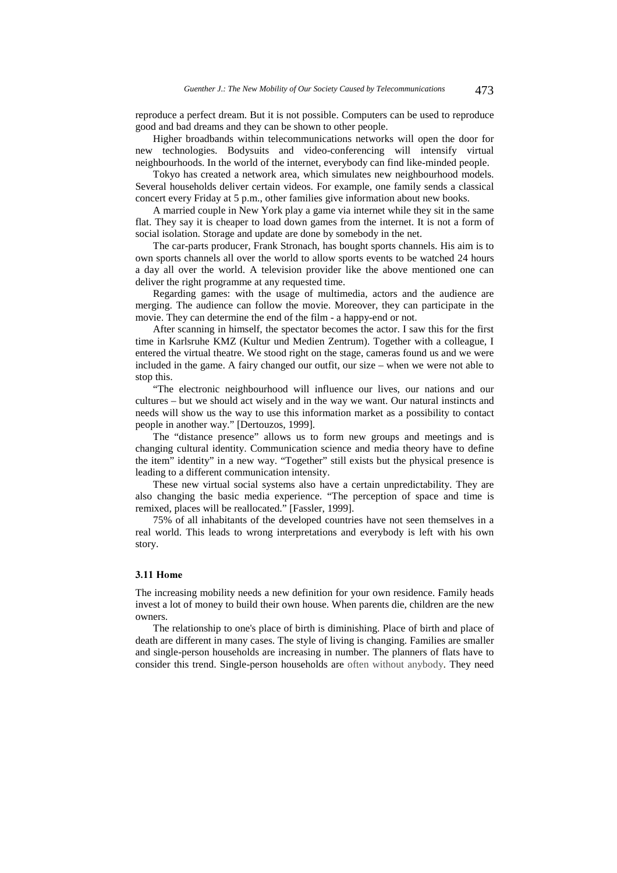reproduce a perfect dream. But it is not possible. Computers can be used to reproduce good and bad dreams and they can be shown to other people.

Higher broadbands within telecommunications networks will open the door for new technologies. Bodysuits and video-conferencing will intensify virtual neighbourhoods. In the world of the internet, everybody can find like-minded people.

Tokyo has created a network area, which simulates new neighbourhood models. Several households deliver certain videos. For example, one family sends a classical concert every Friday at 5 p.m., other families give information about new books.

A married couple in New York play a game via internet while they sit in the same flat. They say it is cheaper to load down games from the internet. It is not a form of social isolation. Storage and update are done by somebody in the net.

The car-parts producer, Frank Stronach, has bought sports channels. His aim is to own sports channels all over the world to allow sports events to be watched 24 hours a day all over the world. A television provider like the above mentioned one can deliver the right programme at any requested time.

Regarding games: with the usage of multimedia, actors and the audience are merging. The audience can follow the movie. Moreover, they can participate in the movie. They can determine the end of the film - a happy-end or not.

After scanning in himself, the spectator becomes the actor. I saw this for the first time in Karlsruhe KMZ (Kultur und Medien Zentrum). Together with a colleague, I entered the virtual theatre. We stood right on the stage, cameras found us and we were included in the game. A fairy changed our outfit, our size – when we were not able to stop this.

"The electronic neighbourhood will influence our lives, our nations and our cultures – but we should act wisely and in the way we want. Our natural instincts and needs will show us the way to use this information market as a possibility to contact people in another way." [Dertouzos, 1999].

The "distance presence" allows us to form new groups and meetings and is changing cultural identity. Communication science and media theory have to define the item" identity" in a new way. "Together" still exists but the physical presence is leading to a different communication intensity.

These new virtual social systems also have a certain unpredictability. They are also changing the basic media experience. "The perception of space and time is remixed, places will be reallocated." [Fassler, 1999].

75% of all inhabitants of the developed countries have not seen themselves in a real world. This leads to wrong interpretations and everybody is left with his own story.

### 3.11 Home

The increasing mobility needs a new definition for your own residence. Family heads invest a lot of money to build their own house. When parents die, children are the new owners.

The relationship to one's place of birth is diminishing. Place of birth and place of death are different in many cases. The style of living is changing. Families are smaller and single-person households are increasing in number. The planners of flats have to consider this trend. Single-person households are often without anybody. They need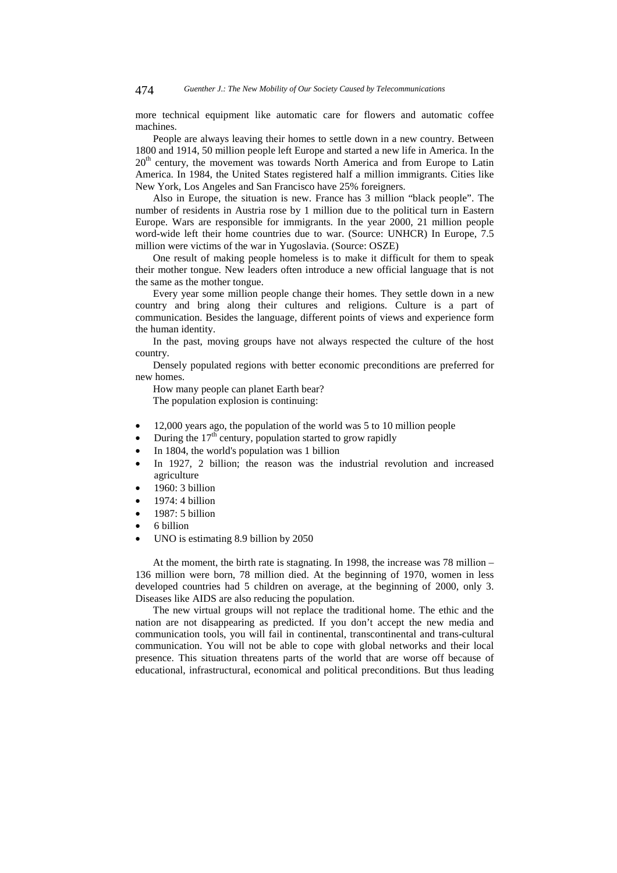more technical equipment like automatic care for flowers and automatic coffee machines.

People are always leaving their homes to settle down in a new country. Between 1800 and 1914, 50 million people left Europe and started a new life in America. In the 20<sup>th</sup> century, the movement was towards North America and from Europe to Latin America. In 1984, the United States registered half a million immigrants. Cities like New York, Los Angeles and San Francisco have 25% foreigners.

Also in Europe, the situation is new. France has 3 million "black people". The number of residents in Austria rose by 1 million due to the political turn in Eastern Europe. Wars are responsible for immigrants. In the year 2000, 21 million people word-wide left their home countries due to war. (Source: UNHCR) In Europe, 7.5 million were victims of the war in Yugoslavia. (Source: OSZE)

One result of making people homeless is to make it difficult for them to speak their mother tongue. New leaders often introduce a new official language that is not the same as the mother tongue.

Every year some million people change their homes. They settle down in a new country and bring along their cultures and religions. Culture is a part of communication. Besides the language, different points of views and experience form the human identity.

In the past, moving groups have not always respected the culture of the host country.

Densely populated regions with better economic preconditions are preferred for new homes.

How many people can planet Earth bear? The population explosion is continuing:

- 12,000 years ago, the population of the world was 5 to 10 million people
- During the  $17<sup>th</sup>$  century, population started to grow rapidly
- In 1804, the world's population was 1 billion
- In 1927, 2 billion; the reason was the industrial revolution and increased agriculture
- 1960: 3 billion
- 1974: 4 billion
- 1987: 5 billion
- 6 billion
- UNO is estimating 8.9 billion by 2050

At the moment, the birth rate is stagnating. In 1998, the increase was 78 million – 136 million were born, 78 million died. At the beginning of 1970, women in less developed countries had 5 children on average, at the beginning of 2000, only 3. Diseases like AIDS are also reducing the population.

The new virtual groups will not replace the traditional home. The ethic and the nation are not disappearing as predicted. If you don't accept the new media and communication tools, you will fail in continental, transcontinental and trans-cultural communication. You will not be able to cope with global networks and their local presence. This situation threatens parts of the world that are worse off because of educational, infrastructural, economical and political preconditions. But thus leading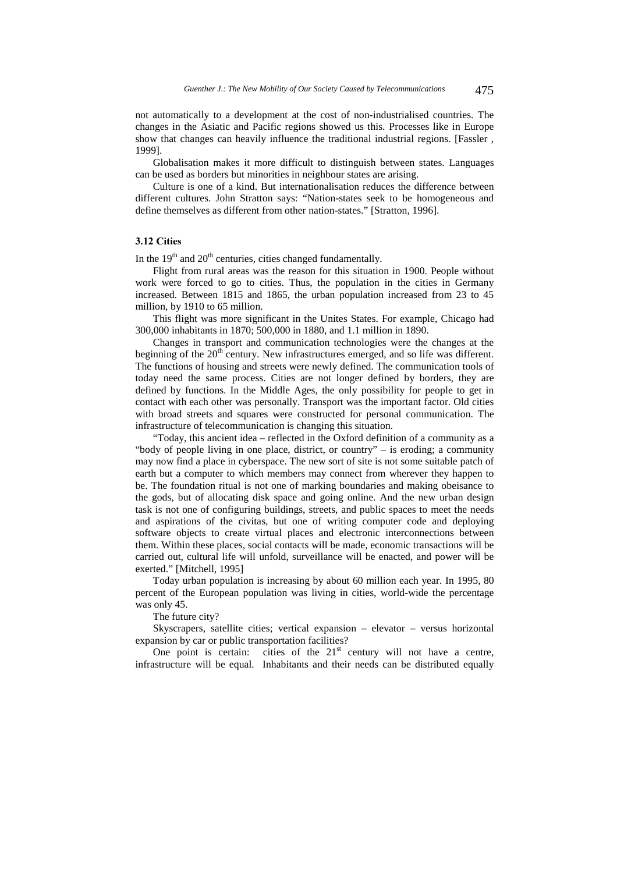not automatically to a development at the cost of non-industrialised countries. The changes in the Asiatic and Pacific regions showed us this. Processes like in Europe show that changes can heavily influence the traditional industrial regions. [Fassler , 1999].

Globalisation makes it more difficult to distinguish between states. Languages can be used as borders but minorities in neighbour states are arising.

Culture is one of a kind. But internationalisation reduces the difference between different cultures. John Stratton says: "Nation-states seek to be homogeneous and define themselves as different from other nation-states." [Stratton, 1996].

### 3.12 Cities

In the  $19<sup>th</sup>$  and  $20<sup>th</sup>$  centuries, cities changed fundamentally.

Flight from rural areas was the reason for this situation in 1900. People without work were forced to go to cities. Thus, the population in the cities in Germany increased. Between 1815 and 1865, the urban population increased from 23 to 45 million, by 1910 to 65 million.

This flight was more significant in the Unites States. For example, Chicago had 300,000 inhabitants in 1870; 500,000 in 1880, and 1.1 million in 1890.

Changes in transport and communication technologies were the changes at the beginning of the  $20<sup>th</sup>$  century. New infrastructures emerged, and so life was different. The functions of housing and streets were newly defined. The communication tools of today need the same process. Cities are not longer defined by borders, they are defined by functions. In the Middle Ages, the only possibility for people to get in contact with each other was personally. Transport was the important factor. Old cities with broad streets and squares were constructed for personal communication. The infrastructure of telecommunication is changing this situation.

"Today, this ancient idea – reflected in the Oxford definition of a community as a "body of people living in one place, district, or country" – is eroding; a community may now find a place in cyberspace. The new sort of site is not some suitable patch of earth but a computer to which members may connect from wherever they happen to be. The foundation ritual is not one of marking boundaries and making obeisance to the gods, but of allocating disk space and going online. And the new urban design task is not one of configuring buildings, streets, and public spaces to meet the needs and aspirations of the civitas, but one of writing computer code and deploying software objects to create virtual places and electronic interconnections between them. Within these places, social contacts will be made, economic transactions will be carried out, cultural life will unfold, surveillance will be enacted, and power will be exerted." [Mitchell, 1995]

Today urban population is increasing by about 60 million each year. In 1995, 80 percent of the European population was living in cities, world-wide the percentage was only 45.

The future city?

Skyscrapers, satellite cities; vertical expansion – elevator – versus horizontal expansion by car or public transportation facilities?

One point is certain: cities of the  $21<sup>st</sup>$  century will not have a centre, infrastructure will be equal. Inhabitants and their needs can be distributed equally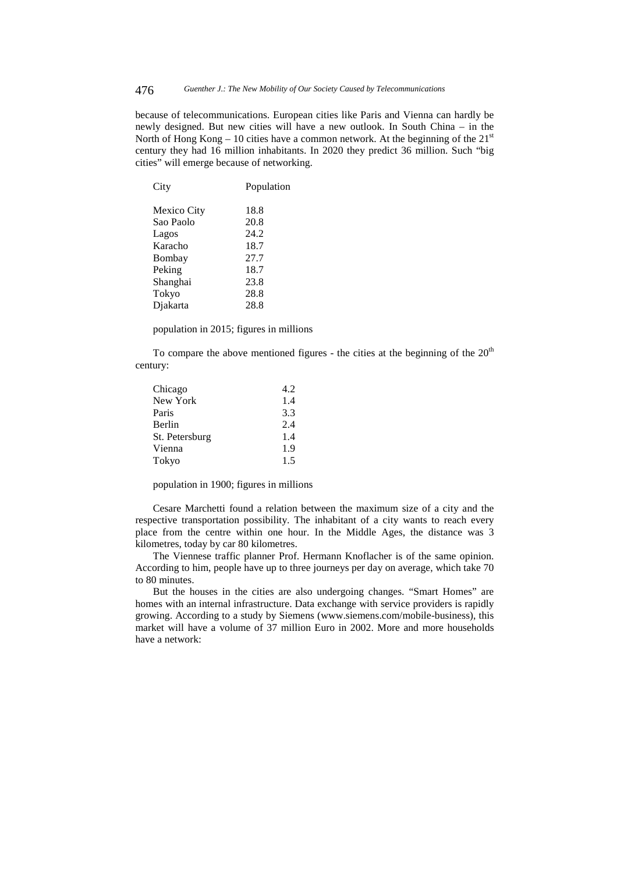because of telecommunications. European cities like Paris and Vienna can hardly be newly designed. But new cities will have a new outlook. In South China – in the North of Hong Kong – 10 cities have a common network. At the beginning of the  $21<sup>st</sup>$ century they had 16 million inhabitants. In 2020 they predict 36 million. Such "big cities" will emerge because of networking.

| City        | Population |
|-------------|------------|
| Mexico City | 18.8       |
| Sao Paolo   | 20.8       |
| Lagos       | 24.2       |
| Karacho     | 18.7       |
| Bombay      | 27.7       |
| Peking      | 18.7       |
| Shanghai    | 23.8       |
| Tokyo       | 28.8       |
| Diakarta    | 28.8       |
|             |            |

population in 2015; figures in millions

To compare the above mentioned figures - the cities at the beginning of the  $20<sup>th</sup>$ century:

| Chicago        | 4.2 |
|----------------|-----|
| New York       | 1.4 |
| Paris          | 3.3 |
| Berlin         | 2.4 |
| St. Petersburg | 1.4 |
| Vienna         | 1.9 |
| Tokyo          | 1.5 |

population in 1900; figures in millions

Cesare Marchetti found a relation between the maximum size of a city and the respective transportation possibility. The inhabitant of a city wants to reach every place from the centre within one hour. In the Middle Ages, the distance was 3 kilometres, today by car 80 kilometres.

The Viennese traffic planner Prof. Hermann Knoflacher is of the same opinion. According to him, people have up to three journeys per day on average, which take 70 to 80 minutes.

But the houses in the cities are also undergoing changes. "Smart Homes" are homes with an internal infrastructure. Data exchange with service providers is rapidly growing. According to a study by Siemens (www.siemens.com/mobile-business), this market will have a volume of 37 million Euro in 2002. More and more households have a network: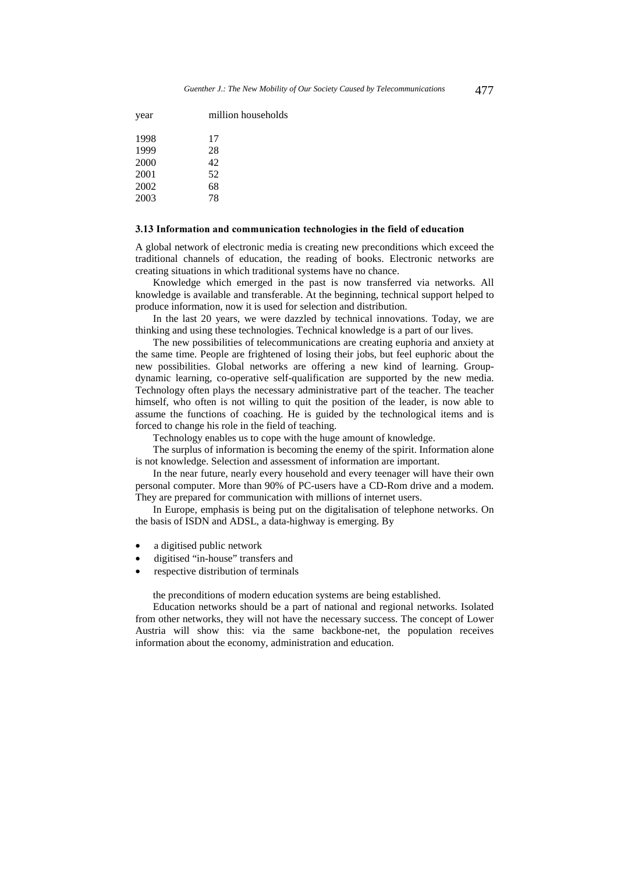| year | million households |
|------|--------------------|
| 1998 | 17                 |
| 1999 | 28                 |
| 2000 | 42                 |
| 2001 | 52                 |
| 2002 | 68                 |
| 2003 | 78                 |

#### 3.13 Information and communication technologies in the field of education

A global network of electronic media is creating new preconditions which exceed the traditional channels of education, the reading of books. Electronic networks are creating situations in which traditional systems have no chance.

Knowledge which emerged in the past is now transferred via networks. All knowledge is available and transferable. At the beginning, technical support helped to produce information, now it is used for selection and distribution.

In the last 20 years, we were dazzled by technical innovations. Today, we are thinking and using these technologies. Technical knowledge is a part of our lives.

The new possibilities of telecommunications are creating euphoria and anxiety at the same time. People are frightened of losing their jobs, but feel euphoric about the new possibilities. Global networks are offering a new kind of learning. Groupdynamic learning, co-operative self-qualification are supported by the new media. Technology often plays the necessary administrative part of the teacher. The teacher himself, who often is not willing to quit the position of the leader, is now able to assume the functions of coaching. He is guided by the technological items and is forced to change his role in the field of teaching.

Technology enables us to cope with the huge amount of knowledge.

The surplus of information is becoming the enemy of the spirit. Information alone is not knowledge. Selection and assessment of information are important.

In the near future, nearly every household and every teenager will have their own personal computer. More than 90% of PC-users have a CD-Rom drive and a modem. They are prepared for communication with millions of internet users.

In Europe, emphasis is being put on the digitalisation of telephone networks. On the basis of ISDN and ADSL, a data-highway is emerging. By

- a digitised public network
- digitised "in-house" transfers and
- respective distribution of terminals

the preconditions of modern education systems are being established.

Education networks should be a part of national and regional networks. Isolated from other networks, they will not have the necessary success. The concept of Lower Austria will show this: via the same backbone-net, the population receives information about the economy, administration and education.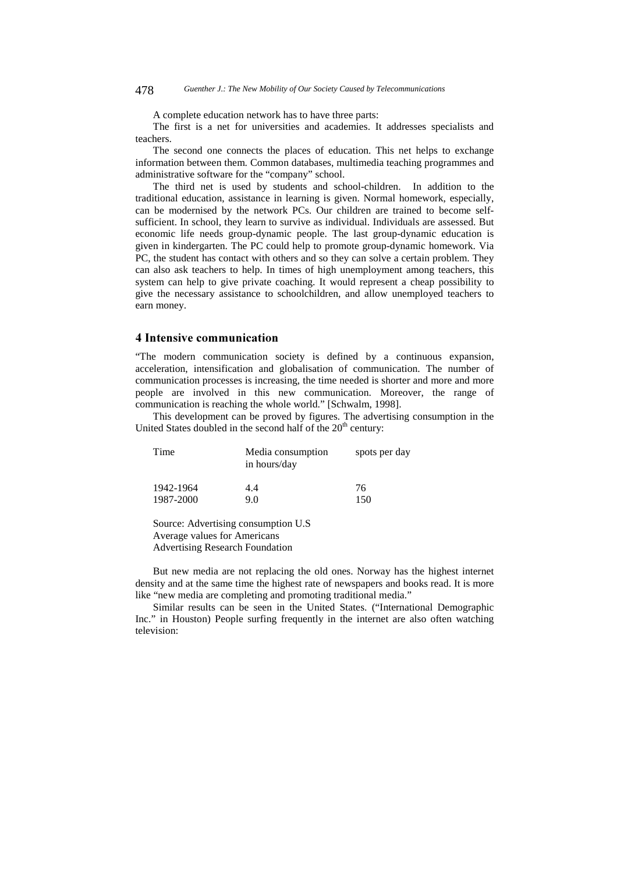A complete education network has to have three parts:

The first is a net for universities and academies. It addresses specialists and teachers.

The second one connects the places of education. This net helps to exchange information between them. Common databases, multimedia teaching programmes and administrative software for the "company" school.

The third net is used by students and school-children. In addition to the traditional education, assistance in learning is given. Normal homework, especially, can be modernised by the network PCs. Our children are trained to become selfsufficient. In school, they learn to survive as individual. Individuals are assessed. But economic life needs group-dynamic people. The last group-dynamic education is given in kindergarten. The PC could help to promote group-dynamic homework. Via PC, the student has contact with others and so they can solve a certain problem. They can also ask teachers to help. In times of high unemployment among teachers, this system can help to give private coaching. It would represent a cheap possibility to give the necessary assistance to schoolchildren, and allow unemployed teachers to earn money.

# 4 Intensive communication

"The modern communication society is defined by a continuous expansion, acceleration, intensification and globalisation of communication. The number of communication processes is increasing, the time needed is shorter and more and more people are involved in this new communication. Moreover, the range of communication is reaching the whole world." [Schwalm, 1998].

This development can be proved by figures. The advertising consumption in the United States doubled in the second half of the  $20<sup>th</sup>$  century:

| Time      | Media consumption<br>in hours/day | spots per day |
|-----------|-----------------------------------|---------------|
| 1942-1964 | 4.4                               | 76            |
| 1987-2000 | 9.0                               | 150           |

Source: Advertising consumption U.S Average values for Americans Advertising Research Foundation

But new media are not replacing the old ones. Norway has the highest internet density and at the same time the highest rate of newspapers and books read. It is more like "new media are completing and promoting traditional media."

Similar results can be seen in the United States. ("International Demographic Inc." in Houston) People surfing frequently in the internet are also often watching television: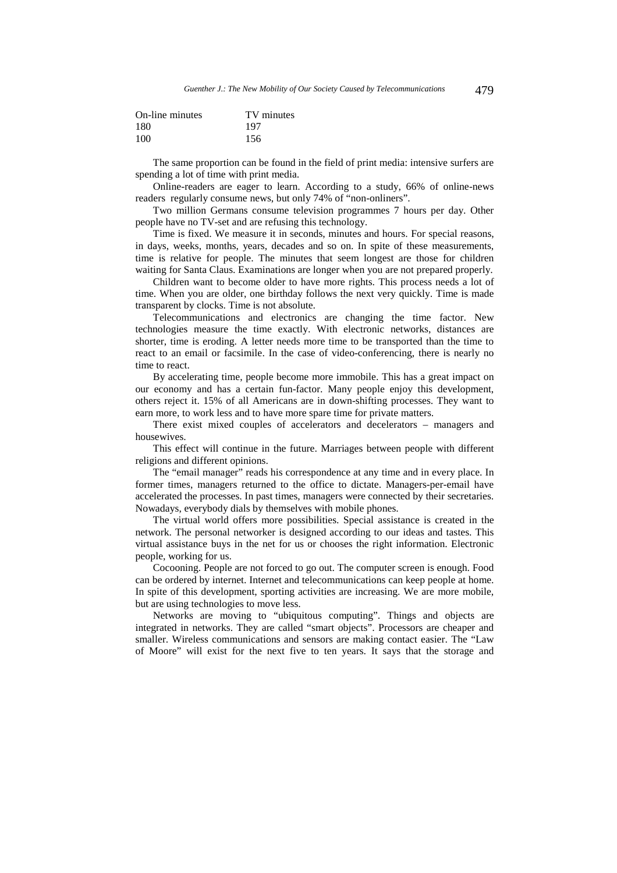| On-line minutes | TV minutes |
|-----------------|------------|
| 180             | 197        |
| 100             | 156        |

The same proportion can be found in the field of print media: intensive surfers are spending a lot of time with print media.

Online-readers are eager to learn. According to a study, 66% of online-news readers regularly consume news, but only 74% of "non-onliners".

Two million Germans consume television programmes 7 hours per day. Other people have no TV-set and are refusing this technology.

Time is fixed. We measure it in seconds, minutes and hours. For special reasons, in days, weeks, months, years, decades and so on. In spite of these measurements, time is relative for people. The minutes that seem longest are those for children waiting for Santa Claus. Examinations are longer when you are not prepared properly.

Children want to become older to have more rights. This process needs a lot of time. When you are older, one birthday follows the next very quickly. Time is made transparent by clocks. Time is not absolute.

Telecommunications and electronics are changing the time factor. New technologies measure the time exactly. With electronic networks, distances are shorter, time is eroding. A letter needs more time to be transported than the time to react to an email or facsimile. In the case of video-conferencing, there is nearly no time to react.

By accelerating time, people become more immobile. This has a great impact on our economy and has a certain fun-factor. Many people enjoy this development, others reject it. 15% of all Americans are in down-shifting processes. They want to earn more, to work less and to have more spare time for private matters.

There exist mixed couples of accelerators and decelerators – managers and housewives.

This effect will continue in the future. Marriages between people with different religions and different opinions.

The "email manager" reads his correspondence at any time and in every place. In former times, managers returned to the office to dictate. Managers-per-email have accelerated the processes. In past times, managers were connected by their secretaries. Nowadays, everybody dials by themselves with mobile phones.

The virtual world offers more possibilities. Special assistance is created in the network. The personal networker is designed according to our ideas and tastes. This virtual assistance buys in the net for us or chooses the right information. Electronic people, working for us.

Cocooning. People are not forced to go out. The computer screen is enough. Food can be ordered by internet. Internet and telecommunications can keep people at home. In spite of this development, sporting activities are increasing. We are more mobile, but are using technologies to move less.

Networks are moving to "ubiquitous computing". Things and objects are integrated in networks. They are called "smart objects". Processors are cheaper and smaller. Wireless communications and sensors are making contact easier. The "Law of Moore" will exist for the next five to ten years. It says that the storage and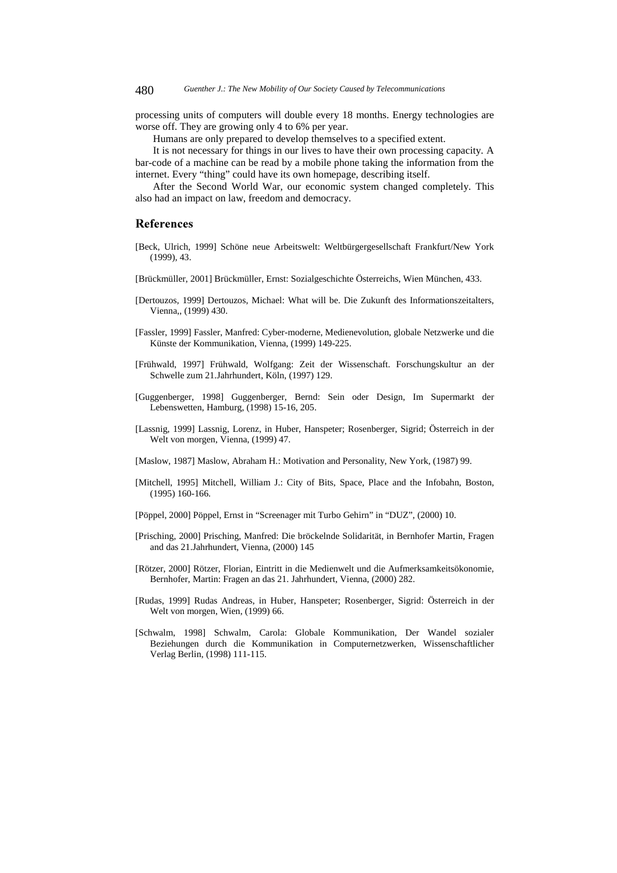processing units of computers will double every 18 months. Energy technologies are worse off. They are growing only 4 to 6% per year.

Humans are only prepared to develop themselves to a specified extent.

It is not necessary for things in our lives to have their own processing capacity. A bar-code of a machine can be read by a mobile phone taking the information from the internet. Every "thing" could have its own homepage, describing itself.

After the Second World War, our economic system changed completely. This also had an impact on law, freedom and democracy.

# **References**

- [Beck, Ulrich, 1999] Schöne neue Arbeitswelt: Weltbürgergesellschaft Frankfurt/New York (1999), 43.
- [Brückmüller, 2001] Brückmüller, Ernst: Sozialgeschichte Österreichs, Wien München, 433.
- [Dertouzos, 1999] Dertouzos, Michael: What will be. Die Zukunft des Informationszeitalters, Vienna,, (1999) 430.
- [Fassler, 1999] Fassler, Manfred: Cyber-moderne, Medienevolution, globale Netzwerke und die Künste der Kommunikation, Vienna, (1999) 149-225.
- [Frühwald, 1997] Frühwald, Wolfgang: Zeit der Wissenschaft. Forschungskultur an der Schwelle zum 21.Jahrhundert, Köln, (1997) 129.
- [Guggenberger, 1998] Guggenberger, Bernd: Sein oder Design, Im Supermarkt der Lebenswetten, Hamburg, (1998) 15-16, 205.
- [Lassnig, 1999] Lassnig, Lorenz, in Huber, Hanspeter; Rosenberger, Sigrid; Österreich in der Welt von morgen, Vienna, (1999) 47.
- [Maslow, 1987] Maslow, Abraham H.: Motivation and Personality, New York, (1987) 99.
- [Mitchell, 1995] Mitchell, William J.: City of Bits, Space, Place and the Infobahn, Boston, (1995) 160-166.
- [Pöppel, 2000] Pöppel, Ernst in "Screenager mit Turbo Gehirn" in "DUZ", (2000) 10.
- [Prisching, 2000] Prisching, Manfred: Die bröckelnde Solidarität, in Bernhofer Martin, Fragen and das 21.Jahrhundert, Vienna, (2000) 145
- [Rötzer, 2000] Rötzer, Florian, Eintritt in die Medienwelt und die Aufmerksamkeitsökonomie, Bernhofer, Martin: Fragen an das 21. Jahrhundert, Vienna, (2000) 282.
- [Rudas, 1999] Rudas Andreas, in Huber, Hanspeter; Rosenberger, Sigrid: Österreich in der Welt von morgen, Wien, (1999) 66.
- [Schwalm, 1998] Schwalm, Carola: Globale Kommunikation, Der Wandel sozialer Beziehungen durch die Kommunikation in Computernetzwerken, Wissenschaftlicher Verlag Berlin, (1998) 111-115.